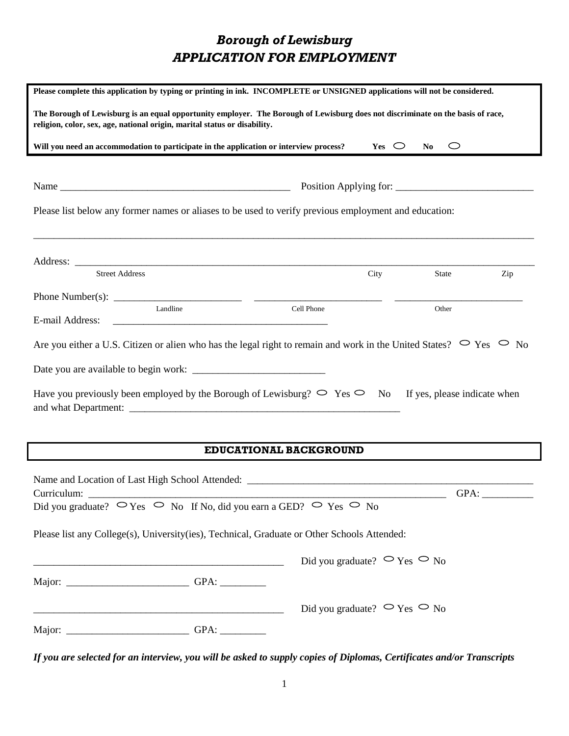# *Borough of Lewisburg APPLICATION FOR EMPLOYMENT*

| Please complete this application by typing or printing in ink. INCOMPLETE or UNSIGNED applications will not be considered.                                                                                   |                                                                      |                  |                                          |     |
|--------------------------------------------------------------------------------------------------------------------------------------------------------------------------------------------------------------|----------------------------------------------------------------------|------------------|------------------------------------------|-----|
| The Borough of Lewisburg is an equal opportunity employer. The Borough of Lewisburg does not discriminate on the basis of race,<br>religion, color, sex, age, national origin, marital status or disability. |                                                                      |                  |                                          |     |
| Will you need an accommodation to participate in the application or interview process?                                                                                                                       |                                                                      | $Yes \n\bigcirc$ | N <sub>0</sub><br>$\smash{\smash{\cup}}$ |     |
|                                                                                                                                                                                                              |                                                                      |                  |                                          |     |
| Please list below any former names or aliases to be used to verify previous employment and education:                                                                                                        |                                                                      |                  |                                          |     |
|                                                                                                                                                                                                              |                                                                      |                  |                                          |     |
| <b>Street Address</b>                                                                                                                                                                                        |                                                                      | City             | State                                    | Zip |
|                                                                                                                                                                                                              |                                                                      |                  |                                          |     |
| Landline<br>E-mail Address:<br><u> 1989 - Jan Samuel Barbara, mendebat dan berasal berasal dan berasal dari pertama dan berasal dari berasal dan</u>                                                         | Cell Phone                                                           |                  | Other                                    |     |
| Are you either a U.S. Citizen or alien who has the legal right to remain and work in the United States? $\circ$ Yes $\circ$ No                                                                               |                                                                      |                  |                                          |     |
|                                                                                                                                                                                                              |                                                                      |                  |                                          |     |
| Have you previously been employed by the Borough of Lewisburg? $\circ$ Yes $\circ$ No If yes, please indicate when                                                                                           |                                                                      |                  |                                          |     |
|                                                                                                                                                                                                              |                                                                      |                  |                                          |     |
| EDUCATIONAL BACKGROUND                                                                                                                                                                                       |                                                                      |                  |                                          |     |
| Name and Location of Last High School Attended: _________________________________<br>Curriculum:<br>Did you graduate? $\circ \circ$ Yes $\circ$ No If No, did you earn a GED? $\circ$ Yes $\circ$ No         |                                                                      |                  | GPA:                                     |     |
| Please list any College(s), University(ies), Technical, Graduate or Other Schools Attended:                                                                                                                  |                                                                      |                  |                                          |     |
| <u> 1989 - Johann Stoff, deutscher Stoff, der Stoff, der Stoff, der Stoff, der Stoff, der Stoff, der Stoff, der S</u>                                                                                        | Did you graduate? $\circ$ Yes $\circ$ No                             |                  |                                          |     |
|                                                                                                                                                                                                              |                                                                      |                  |                                          |     |
|                                                                                                                                                                                                              | Did you graduate? $\circ \circ_{\text{Yes}} \circ \circ_{\text{No}}$ |                  |                                          |     |
|                                                                                                                                                                                                              |                                                                      |                  |                                          |     |

*If you are selected for an interview, you will be asked to supply copies of Diplomas, Certificates and/or Transcripts*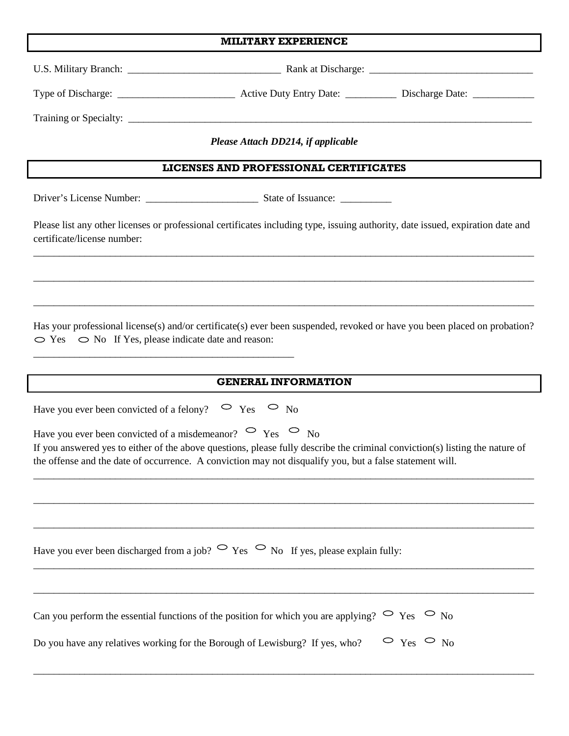|  | <b>MILITARY EXPERIENCE</b> |
|--|----------------------------|
|--|----------------------------|

┃

I

|                                                                                                                                                                                                                                                                                                                   | Please Attach DD214, if applicable |  |  |
|-------------------------------------------------------------------------------------------------------------------------------------------------------------------------------------------------------------------------------------------------------------------------------------------------------------------|------------------------------------|--|--|
| LICENSES AND PROFESSIONAL CERTIFICATES                                                                                                                                                                                                                                                                            |                                    |  |  |
|                                                                                                                                                                                                                                                                                                                   |                                    |  |  |
| Please list any other licenses or professional certificates including type, issuing authority, date issued, expiration date and<br>certificate/license number:                                                                                                                                                    |                                    |  |  |
|                                                                                                                                                                                                                                                                                                                   |                                    |  |  |
| Has your professional license(s) and/or certificate(s) ever been suspended, revoked or have you been placed on probation?<br>$\circ$ Yes $\circ$ No If Yes, please indicate date and reason:                                                                                                                      |                                    |  |  |
|                                                                                                                                                                                                                                                                                                                   | <b>GENERAL INFORMATION</b>         |  |  |
| Have you ever been convicted of a felony? $\circ$ Yes $\circ$ No                                                                                                                                                                                                                                                  |                                    |  |  |
| Have you ever been convicted of a misdemeanor? $\circ$ Yes $\circ$ No<br>If you answered yes to either of the above questions, please fully describe the criminal conviction(s) listing the nature of<br>the offense and the date of occurrence. A conviction may not disqualify you, but a false statement will. |                                    |  |  |
|                                                                                                                                                                                                                                                                                                                   |                                    |  |  |
|                                                                                                                                                                                                                                                                                                                   |                                    |  |  |
| Have you ever been discharged from a job? $\circ$ Yes $\circ$ No If yes, please explain fully:                                                                                                                                                                                                                    |                                    |  |  |
|                                                                                                                                                                                                                                                                                                                   |                                    |  |  |
| Can you perform the essential functions of the position for which you are applying? $\circ$ Yes $\circ$ No                                                                                                                                                                                                        |                                    |  |  |
| $\circ$ $_{\text{Yes}}$ $\circ$ $_{\text{No}}$<br>Do you have any relatives working for the Borough of Lewisburg? If yes, who?                                                                                                                                                                                    |                                    |  |  |
|                                                                                                                                                                                                                                                                                                                   |                                    |  |  |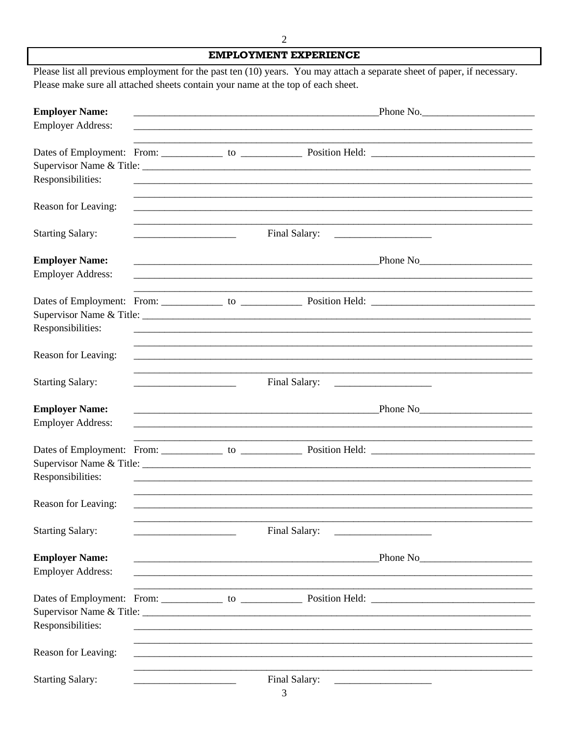### **EMPLOYMENT EXPERIENCE**

Please list all previous employment for the past ten (10) years. You may attach a separate sheet of paper, if necessary. Please make sure all attached sheets contain your name at the top of each sheet.

| <b>Employer Name:</b>                             |  |                                                                                                                        | Phone No.                                                                                                                                                                                                                            |
|---------------------------------------------------|--|------------------------------------------------------------------------------------------------------------------------|--------------------------------------------------------------------------------------------------------------------------------------------------------------------------------------------------------------------------------------|
| <b>Employer Address:</b>                          |  |                                                                                                                        |                                                                                                                                                                                                                                      |
| Responsibilities:                                 |  |                                                                                                                        | <u> 1989 - Johann Stoff, deutscher Stoff, der Stoff, der Stoff, der Stoff, der Stoff, der Stoff, der Stoff, der S</u>                                                                                                                |
| Reason for Leaving:                               |  |                                                                                                                        | <u> 1989 - Andrea San Andrea San Andrea San Andrea San Andrea San Andrea San Andrea San Andrea San Andrea San An</u>                                                                                                                 |
| <b>Starting Salary:</b>                           |  |                                                                                                                        |                                                                                                                                                                                                                                      |
| <b>Employer Name:</b><br><b>Employer Address:</b> |  | <u> 1989 - Johann John Stone, mensk politik (f. 1989)</u>                                                              | <u>Phone No Phone No Phone No Phone No Phone No Phone No Phone No Phone No Phone No Phone No Phone No Phone No Phone No Phone No Phone No Phone No Phone No Phone No Phone No Phone No Phone No Phone No Phone No Phone No Phone</u> |
| Responsibilities:                                 |  |                                                                                                                        | ,我们也不能在这里的人,我们也不能在这里的人,我们也不能在这里的人,我们也不能在这里的人,我们也不能在这里的人,我们也不能在这里的人,我们也不能在这里的人,我们也                                                                                                                                                    |
| Reason for Leaving:                               |  |                                                                                                                        |                                                                                                                                                                                                                                      |
| <b>Starting Salary:</b>                           |  |                                                                                                                        |                                                                                                                                                                                                                                      |
| <b>Employer Name:</b><br><b>Employer Address:</b> |  |                                                                                                                        |                                                                                                                                                                                                                                      |
| Responsibilities:                                 |  |                                                                                                                        |                                                                                                                                                                                                                                      |
| Reason for Leaving:                               |  | <u> 1989 - Johann John Stone, markin bashkar (b. 1989)</u>                                                             |                                                                                                                                                                                                                                      |
| <b>Starting Salary:</b>                           |  | Final Salary:                                                                                                          |                                                                                                                                                                                                                                      |
| <b>Employer Name:</b><br><b>Employer Address:</b> |  | <u> 2008 - Jan Barnett, mars ann an Carl ann an Carl an Carl ann an Carl ann an Carl ann an Carl ann an Carl ann a</u> |                                                                                                                                                                                                                                      |
| Responsibilities:                                 |  |                                                                                                                        |                                                                                                                                                                                                                                      |
| Reason for Leaving:                               |  |                                                                                                                        |                                                                                                                                                                                                                                      |
| <b>Starting Salary:</b>                           |  | Final Salary:                                                                                                          |                                                                                                                                                                                                                                      |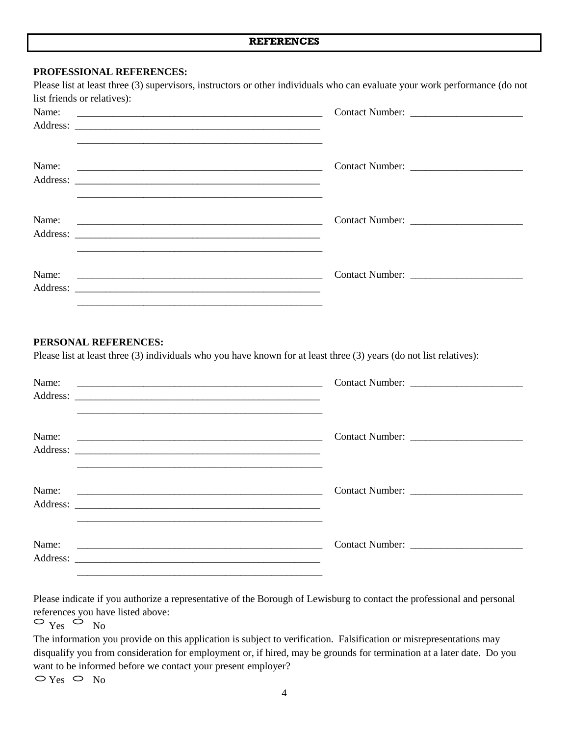#### **PROFESSIONAL REFERENCES:**

| Name: |  |
|-------|--|

### **PERSONAL REFERENCES:**

Please list at least three (3) individuals who you have known for at least three (3) years (do not list relatives):

| Name: | <u> 1990 - Jan James James James James James James James James James James James James James James James James J</u> |                 |
|-------|----------------------------------------------------------------------------------------------------------------------|-----------------|
| Name: |                                                                                                                      |                 |
| Name: |                                                                                                                      | Contact Number: |
| Name: |                                                                                                                      |                 |

Please indicate if you authorize a representative of the Borough of Lewisburg to contact the professional and personal references you have listed above:

 $\circ$   $_{\text{Yes}}$   $\circ$   $_{\text{No}}$ 

The information you provide on this application is subject to verification. Falsification or misrepresentations may disqualify you from consideration for employment or, if hired, may be grounds for termination at a later date. Do you want to be informed before we contact your present employer?

 $\supset$  Yes  $\supset$  No